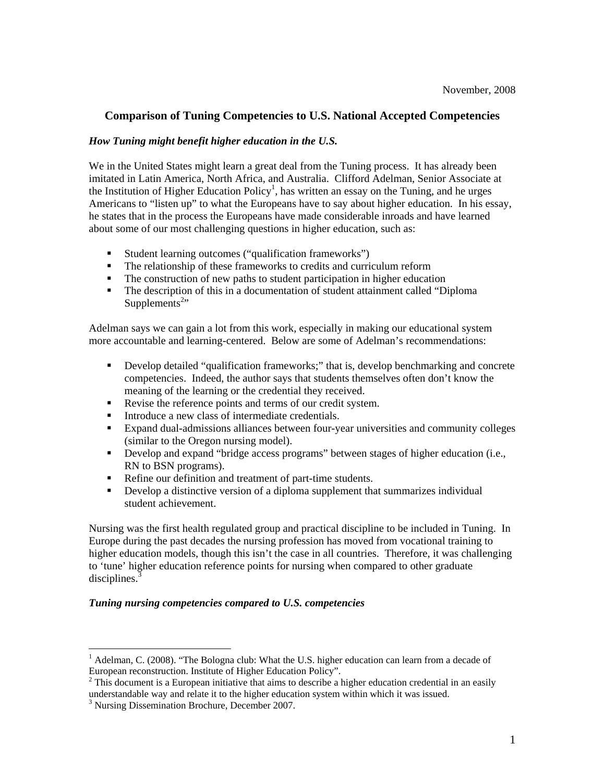## **Comparison of Tuning Competencies to U.S. National Accepted Competencies**

#### *How Tuning might benefit higher education in the U.S.*

We in the United States might learn a great deal from the Tuning process. It has already been imitated in Latin America, North Africa, and Australia. Clifford Adelman, Senior Associate at the Institution of Higher Education Policy<sup>1</sup>, has written an essay on the Tuning, and he urges Americans to "listen up" to what the Europeans have to say about higher education. In his essay, he states that in the process the Europeans have made considerable inroads and have learned about some of our most challenging questions in higher education, such as:

- Student learning outcomes ("qualification frameworks")
- The relationship of these frameworks to credits and curriculum reform
- The construction of new paths to student participation in higher education
- The description of this in a documentation of student attainment called "Diploma Supplements<sup>2</sup>"

Adelman says we can gain a lot from this work, especially in making our educational system more accountable and learning-centered. Below are some of Adelman's recommendations:

- Develop detailed "qualification frameworks;" that is, develop benchmarking and concrete competencies. Indeed, the author says that students themselves often don't know the meaning of the learning or the credential they received.
- Revise the reference points and terms of our credit system.
- Introduce a new class of intermediate credentials.
- Expand dual-admissions alliances between four-year universities and community colleges (similar to the Oregon nursing model).
- Develop and expand "bridge access programs" between stages of higher education (i.e., RN to BSN programs).
- Refine our definition and treatment of part-time students.
- **•** Develop a distinctive version of a diploma supplement that summarizes individual student achievement.

Nursing was the first health regulated group and practical discipline to be included in Tuning. In Europe during the past decades the nursing profession has moved from vocational training to higher education models, though this isn't the case in all countries. Therefore, it was challenging to 'tune' higher education reference points for nursing when compared to other graduate disciplines. $3$ 

#### *Tuning nursing competencies compared to U.S. competencies*

 $\overline{a}$ 

<sup>&</sup>lt;sup>1</sup> Adelman, C. (2008). "The Bologna club: What the U.S. higher education can learn from a decade of European reconstruction. Institute of Higher Education Policy".

 $2$  This document is a European initiative that aims to describe a higher education credential in an easily understandable way and relate it to the higher education system within which it was issued.

<sup>&</sup>lt;sup>3</sup> Nursing Dissemination Brochure, December 2007.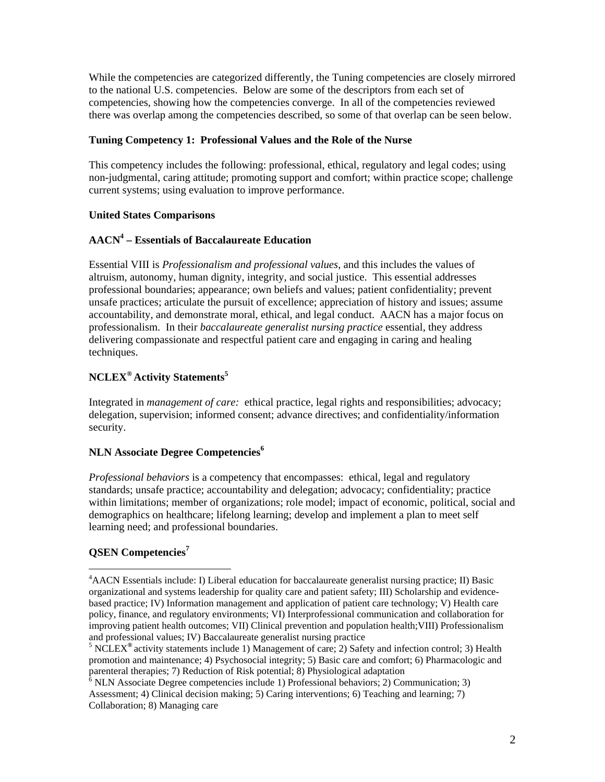While the competencies are categorized differently, the Tuning competencies are closely mirrored to the national U.S. competencies. Below are some of the descriptors from each set of competencies, showing how the competencies converge. In all of the competencies reviewed there was overlap among the competencies described, so some of that overlap can be seen below.

#### **Tuning Competency 1: Professional Values and the Role of the Nurse**

This competency includes the following: professional, ethical, regulatory and legal codes; using non-judgmental, caring attitude; promoting support and comfort; within practice scope; challenge current systems; using evaluation to improve performance.

## **United States Comparisons**

## **AACN<sup>4</sup> – Essentials of Baccalaureate Education**

Essential VIII is *Professionalism and professional values*, and this includes the values of altruism, autonomy, human dignity, integrity, and social justice. This essential addresses professional boundaries; appearance; own beliefs and values; patient confidentiality; prevent unsafe practices; articulate the pursuit of excellence; appreciation of history and issues; assume accountability, and demonstrate moral, ethical, and legal conduct. AACN has a major focus on professionalism. In their *baccalaureate generalist nursing practice* essential, they address delivering compassionate and respectful patient care and engaging in caring and healing techniques.

## **NCLEX® Activity Statements5**

Integrated in *management of care:* ethical practice, legal rights and responsibilities; advocacy; delegation, supervision; informed consent; advance directives; and confidentiality/information security.

## **NLN Associate Degree Competencies<sup>6</sup>**

*Professional behaviors* is a competency that encompasses: ethical, legal and regulatory standards; unsafe practice; accountability and delegation; advocacy; confidentiality; practice within limitations; member of organizations; role model; impact of economic, political, social and demographics on healthcare; lifelong learning; develop and implement a plan to meet self learning need; and professional boundaries.

## **QSEN Competencies<sup>7</sup>**

 $\overline{a}$ 

<sup>&</sup>lt;sup>4</sup> AACN Essentials include: I) Liberal education for baccalaureate generalist nursing practice; II) Basic organizational and systems leadership for quality care and patient safety; III) Scholarship and evidencebased practice; IV) Information management and application of patient care technology; V) Health care policy, finance, and regulatory environments; VI) Interprofessional communication and collaboration for improving patient health outcomes; VII) Clinical prevention and population health;VIII) Professionalism and professional values; IV) Baccalaureate generalist nursing practice 5

NCLEX**®** activity statements include 1) Management of care; 2) Safety and infection control; 3) Health promotion and maintenance; 4) Psychosocial integrity; 5) Basic care and comfort; 6) Pharmacologic and parenteral therapies; 7) Reduction of Risk potential; 8) Physiological adaptation

 $6$  NLN Associate Degree competencies include 1) Professional behaviors; 2) Communication; 3) Assessment; 4) Clinical decision making; 5) Caring interventions; 6) Teaching and learning; 7) Collaboration; 8) Managing care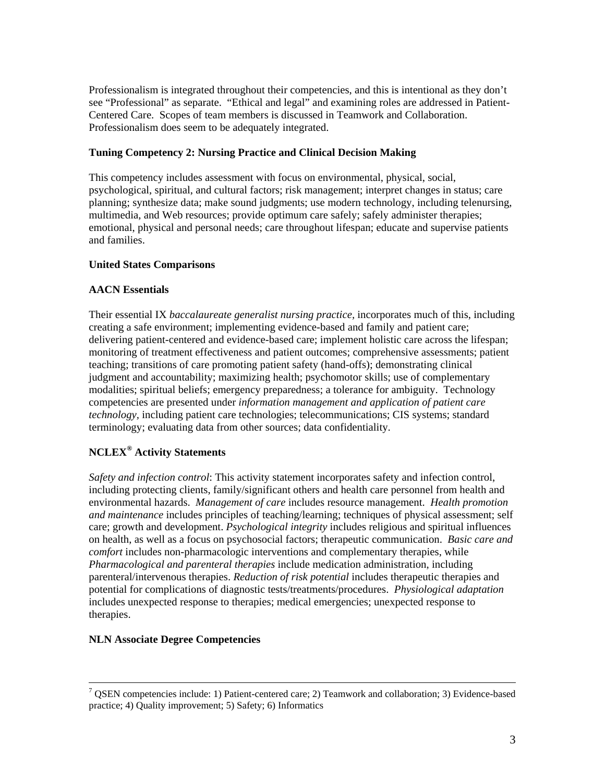Professionalism is integrated throughout their competencies, and this is intentional as they don't see "Professional" as separate. "Ethical and legal" and examining roles are addressed in Patient-Centered Care. Scopes of team members is discussed in Teamwork and Collaboration. Professionalism does seem to be adequately integrated.

## **Tuning Competency 2: Nursing Practice and Clinical Decision Making**

This competency includes assessment with focus on environmental, physical, social, psychological, spiritual, and cultural factors; risk management; interpret changes in status; care planning; synthesize data; make sound judgments; use modern technology, including telenursing, multimedia, and Web resources; provide optimum care safely; safely administer therapies; emotional, physical and personal needs; care throughout lifespan; educate and supervise patients and families.

## **United States Comparisons**

## **AACN Essentials**

Their essential IX *baccalaureate generalist nursing practice,* incorporates much of this, including creating a safe environment; implementing evidence-based and family and patient care; delivering patient-centered and evidence-based care; implement holistic care across the lifespan; monitoring of treatment effectiveness and patient outcomes; comprehensive assessments; patient teaching; transitions of care promoting patient safety (hand-offs); demonstrating clinical judgment and accountability; maximizing health; psychomotor skills; use of complementary modalities; spiritual beliefs; emergency preparedness; a tolerance for ambiguity. Technology competencies are presented under *information management and application of patient care technology,* including patient care technologies; telecommunications; CIS systems; standard terminology; evaluating data from other sources; data confidentiality.

## **NCLEX® Activity Statements**

*Safety and infection control*: This activity statement incorporates safety and infection control, including protecting clients, family/significant others and health care personnel from health and environmental hazards. *Management of care* includes resource management. *Health promotion and maintenance* includes principles of teaching/learning; techniques of physical assessment; self care; growth and development. *Psychological integrity* includes religious and spiritual influences on health, as well as a focus on psychosocial factors; therapeutic communication. *Basic care and comfort* includes non-pharmacologic interventions and complementary therapies, while *Pharmacological and parenteral therapies* include medication administration, including parenteral/intervenous therapies. *Reduction of risk potential* includes therapeutic therapies and potential for complications of diagnostic tests/treatments/procedures. *Physiological adaptation*  includes unexpected response to therapies; medical emergencies; unexpected response to therapies.

#### **NLN Associate Degree Competencies**

<sup>-&</sup>lt;br>7  $\frac{7}{1}$  OSEN competencies include: 1) Patient-centered care; 2) Teamwork and collaboration; 3) Evidence-based practice; 4) Quality improvement; 5) Safety; 6) Informatics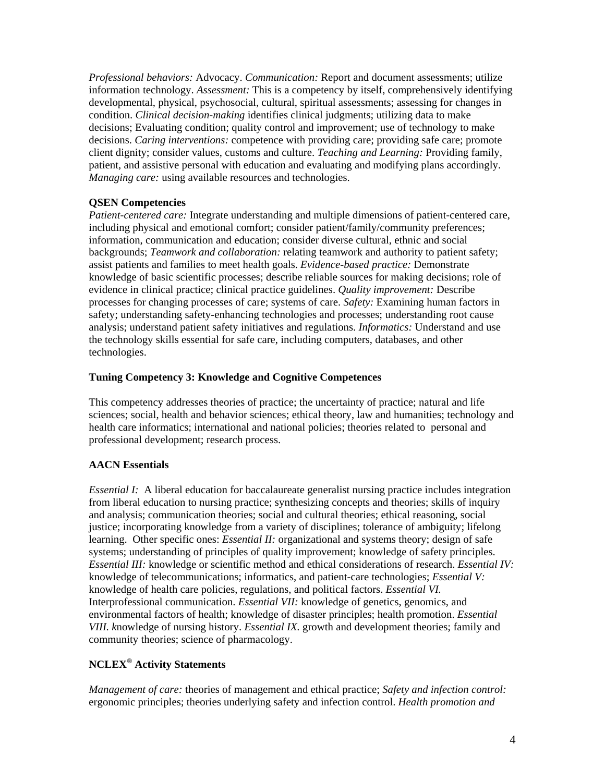*Professional behaviors:* Advocacy. *Communication:* Report and document assessments; utilize information technology. *Assessment:* This is a competency by itself, comprehensively identifying developmental, physical, psychosocial, cultural, spiritual assessments; assessing for changes in condition. *Clinical decision-making* identifies clinical judgments; utilizing data to make decisions; Evaluating condition; quality control and improvement; use of technology to make decisions. *Caring interventions:* competence with providing care; providing safe care; promote client dignity; consider values, customs and culture. *Teaching and Learning:* Providing family, patient, and assistive personal with education and evaluating and modifying plans accordingly. *Managing care:* using available resources and technologies.

## **QSEN Competencies**

*Patient-centered care:* Integrate understanding and multiple dimensions of patient-centered care, including physical and emotional comfort; consider patient/family/community preferences; information, communication and education; consider diverse cultural, ethnic and social backgrounds; *Teamwork and collaboration:* relating teamwork and authority to patient safety; assist patients and families to meet health goals. *Evidence-based practice:* Demonstrate knowledge of basic scientific processes; describe reliable sources for making decisions; role of evidence in clinical practice; clinical practice guidelines. *Quality improvement:* Describe processes for changing processes of care; systems of care. *Safety:* Examining human factors in safety; understanding safety-enhancing technologies and processes; understanding root cause analysis; understand patient safety initiatives and regulations. *Informatics:* Understand and use the technology skills essential for safe care, including computers, databases, and other technologies.

## **Tuning Competency 3: Knowledge and Cognitive Competences**

This competency addresses theories of practice; the uncertainty of practice; natural and life sciences; social, health and behavior sciences; ethical theory, law and humanities; technology and health care informatics; international and national policies; theories related to personal and professional development; research process.

## **AACN Essentials**

*Essential I:* A liberal education for baccalaureate generalist nursing practice includes integration from liberal education to nursing practice; synthesizing concepts and theories; skills of inquiry and analysis; communication theories; social and cultural theories; ethical reasoning, social justice; incorporating knowledge from a variety of disciplines; tolerance of ambiguity; lifelong learning. Other specific ones: *Essential II:* organizational and systems theory; design of safe systems; understanding of principles of quality improvement; knowledge of safety principles. *Essential III:* knowledge or scientific method and ethical considerations of research. *Essential IV:*  knowledge of telecommunications; informatics, and patient-care technologies; *Essential V:*  knowledge of health care policies, regulations, and political factors. *Essential VI.*  Interprofessional communication. *Essential VII:* knowledge of genetics, genomics, and environmental factors of health; knowledge of disaster principles; health promotion. *Essential VIII. k*nowledge of nursing history. *Essential IX.* growth and development theories; family and community theories; science of pharmacology.

## **NCLEX® Activity Statements**

*Management of care:* theories of management and ethical practice; *Safety and infection control:*  ergonomic principles; theories underlying safety and infection control. *Health promotion and*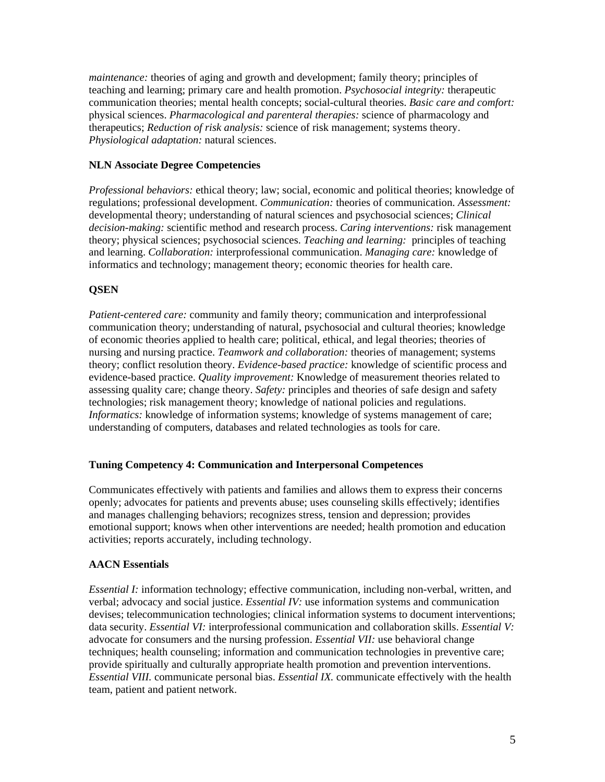*maintenance:* theories of aging and growth and development; family theory; principles of teaching and learning; primary care and health promotion. *Psychosocial integrity:* therapeutic communication theories; mental health concepts; social-cultural theories. *Basic care and comfort:*  physical sciences. *Pharmacological and parenteral therapies:* science of pharmacology and therapeutics; *Reduction of risk analysis:* science of risk management; systems theory. *Physiological adaptation:* natural sciences.

## **NLN Associate Degree Competencies**

*Professional behaviors:* ethical theory; law; social, economic and political theories; knowledge of regulations; professional development. *Communication:* theories of communication. *Assessment:*  developmental theory; understanding of natural sciences and psychosocial sciences; *Clinical decision-making:* scientific method and research process. *Caring interventions:* risk management theory; physical sciences; psychosocial sciences. *Teaching and learning:* principles of teaching and learning. *Collaboration:* interprofessional communication. *Managing care:* knowledge of informatics and technology; management theory; economic theories for health care.

## **QSEN**

*Patient-centered care:* community and family theory; communication and interprofessional communication theory; understanding of natural, psychosocial and cultural theories; knowledge of economic theories applied to health care; political, ethical, and legal theories; theories of nursing and nursing practice. *Teamwork and collaboration:* theories of management; systems theory; conflict resolution theory. *Evidence-based practice:* knowledge of scientific process and evidence-based practice. *Quality improvement:* Knowledge of measurement theories related to assessing quality care; change theory. *Safety:* principles and theories of safe design and safety technologies; risk management theory; knowledge of national policies and regulations. *Informatics:* knowledge of information systems; knowledge of systems management of care; understanding of computers, databases and related technologies as tools for care.

#### **Tuning Competency 4: Communication and Interpersonal Competences**

Communicates effectively with patients and families and allows them to express their concerns openly; advocates for patients and prevents abuse; uses counseling skills effectively; identifies and manages challenging behaviors; recognizes stress, tension and depression; provides emotional support; knows when other interventions are needed; health promotion and education activities; reports accurately, including technology.

#### **AACN Essentials**

*Essential I:* information technology; effective communication, including non-verbal, written, and verbal; advocacy and social justice. *Essential IV:* use information systems and communication devises; telecommunication technologies; clinical information systems to document interventions; data security. *Essential VI:* interprofessional communication and collaboration skills. *Essential V:*  advocate for consumers and the nursing profession. *Essential VII:* use behavioral change techniques; health counseling; information and communication technologies in preventive care; provide spiritually and culturally appropriate health promotion and prevention interventions. *Essential VIII.* communicate personal bias. *Essential IX.* communicate effectively with the health team, patient and patient network.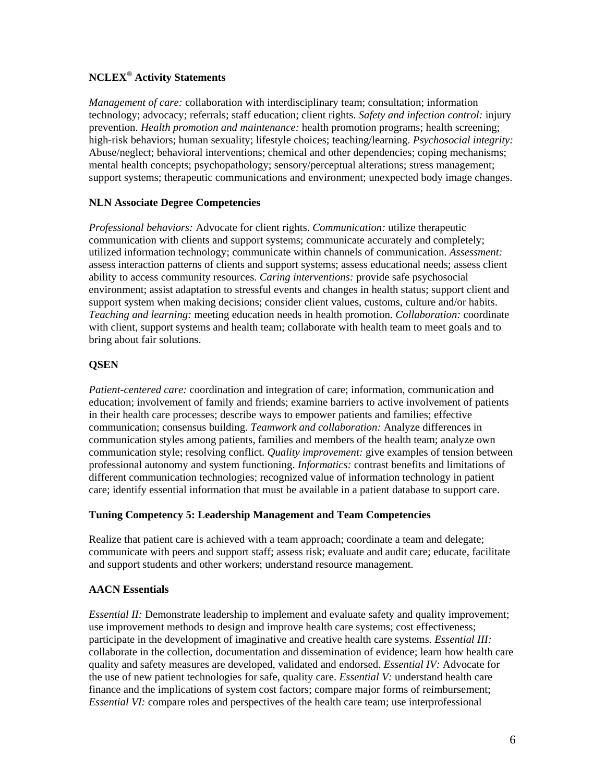## **NCLEX® Activity Statements**

*Management of care:* collaboration with interdisciplinary team; consultation; information technology; advocacy; referrals; staff education; client rights. *Safety and infection control:* injury prevention. *Health promotion and maintenance:* health promotion programs; health screening; high-risk behaviors; human sexuality; lifestyle choices; teaching/learning. *Psychosocial integrity:*  Abuse/neglect; behavioral interventions; chemical and other dependencies; coping mechanisms; mental health concepts; psychopathology; sensory/perceptual alterations; stress management; support systems; therapeutic communications and environment; unexpected body image changes.

## **NLN Associate Degree Competencies**

*Professional behaviors:* Advocate for client rights. *Communication:* utilize therapeutic communication with clients and support systems; communicate accurately and completely; utilized information technology; communicate within channels of communication. *Assessment:*  assess interaction patterns of clients and support systems; assess educational needs; assess client ability to access community resources. *Caring interventions:* provide safe psychosocial environment; assist adaptation to stressful events and changes in health status; support client and support system when making decisions; consider client values, customs, culture and/or habits. *Teaching and learning:* meeting education needs in health promotion. *Collaboration:* coordinate with client, support systems and health team; collaborate with health team to meet goals and to bring about fair solutions.

## **QSEN**

*Patient-centered care:* coordination and integration of care; information, communication and education; involvement of family and friends; examine barriers to active involvement of patients in their health care processes; describe ways to empower patients and families; effective communication; consensus building. *Teamwork and collaboration:* Analyze differences in communication styles among patients, families and members of the health team; analyze own communication style; resolving conflict. *Quality improvement:* give examples of tension between professional autonomy and system functioning. *Informatics:* contrast benefits and limitations of different communication technologies; recognized value of information technology in patient care; identify essential information that must be available in a patient database to support care.

#### **Tuning Competency 5: Leadership Management and Team Competencies**

Realize that patient care is achieved with a team approach; coordinate a team and delegate; communicate with peers and support staff; assess risk; evaluate and audit care; educate, facilitate and support students and other workers; understand resource management.

#### **AACN Essentials**

*Essential II:* Demonstrate leadership to implement and evaluate safety and quality improvement; use improvement methods to design and improve health care systems; cost effectiveness; participate in the development of imaginative and creative health care systems. *Essential III:*  collaborate in the collection, documentation and dissemination of evidence; learn how health care quality and safety measures are developed, validated and endorsed. *Essential IV:* Advocate for the use of new patient technologies for safe, quality care. *Essential V:* understand health care finance and the implications of system cost factors; compare major forms of reimbursement; *Essential VI:* compare roles and perspectives of the health care team; use interprofessional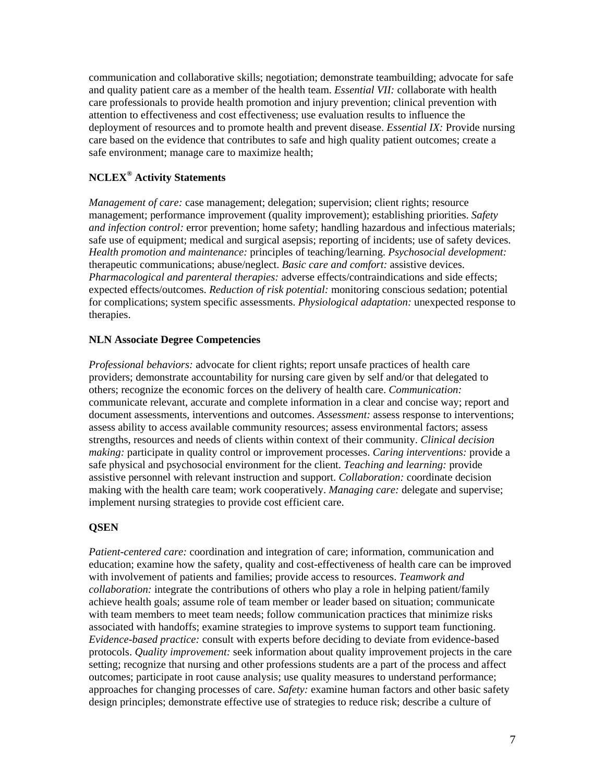communication and collaborative skills; negotiation; demonstrate teambuilding; advocate for safe and quality patient care as a member of the health team. *Essential VII:* collaborate with health care professionals to provide health promotion and injury prevention; clinical prevention with attention to effectiveness and cost effectiveness; use evaluation results to influence the deployment of resources and to promote health and prevent disease. *Essential IX:* Provide nursing care based on the evidence that contributes to safe and high quality patient outcomes; create a safe environment; manage care to maximize health;

# **NCLEX® Activity Statements**

*Management of care:* case management; delegation; supervision; client rights; resource management; performance improvement (quality improvement); establishing priorities. *Safety and infection control:* error prevention; home safety; handling hazardous and infectious materials; safe use of equipment; medical and surgical asepsis; reporting of incidents; use of safety devices. *Health promotion and maintenance:* principles of teaching/learning. *Psychosocial development:*  therapeutic communications; abuse/neglect. *Basic care and comfort:* assistive devices. *Pharmacological and parenteral therapies:* adverse effects/contraindications and side effects; expected effects/outcomes. *Reduction of risk potential:* monitoring conscious sedation; potential for complications; system specific assessments. *Physiological adaptation:* unexpected response to therapies.

## **NLN Associate Degree Competencies**

*Professional behaviors:* advocate for client rights; report unsafe practices of health care providers; demonstrate accountability for nursing care given by self and/or that delegated to others; recognize the economic forces on the delivery of health care. *Communication:*  communicate relevant, accurate and complete information in a clear and concise way; report and document assessments, interventions and outcomes. *Assessment:* assess response to interventions; assess ability to access available community resources; assess environmental factors; assess strengths, resources and needs of clients within context of their community. *Clinical decision making:* participate in quality control or improvement processes. *Caring interventions:* provide a safe physical and psychosocial environment for the client. *Teaching and learning:* provide assistive personnel with relevant instruction and support. *Collaboration:* coordinate decision making with the health care team; work cooperatively. *Managing care:* delegate and supervise; implement nursing strategies to provide cost efficient care.

## **QSEN**

*Patient-centered care:* coordination and integration of care; information, communication and education; examine how the safety, quality and cost-effectiveness of health care can be improved with involvement of patients and families; provide access to resources. *Teamwork and collaboration:* integrate the contributions of others who play a role in helping patient/family achieve health goals; assume role of team member or leader based on situation; communicate with team members to meet team needs; follow communication practices that minimize risks associated with handoffs; examine strategies to improve systems to support team functioning. *Evidence-based practice:* consult with experts before deciding to deviate from evidence-based protocols. *Quality improvement:* seek information about quality improvement projects in the care setting; recognize that nursing and other professions students are a part of the process and affect outcomes; participate in root cause analysis; use quality measures to understand performance; approaches for changing processes of care. *Safety:* examine human factors and other basic safety design principles; demonstrate effective use of strategies to reduce risk; describe a culture of